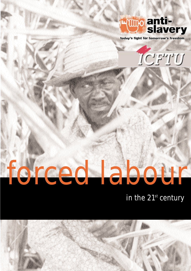

today's fight for tomorrow's freedom

# ICFTU

# **forced labour**

**in the 21st century**

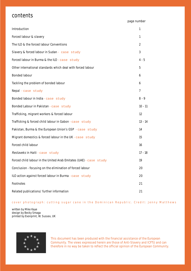#### **contents**

| Introduction                                                       | 1              |
|--------------------------------------------------------------------|----------------|
| Forced labour & slavery                                            | 1              |
| The ILO & the forced labour Conventions                            | 2              |
| Slavery & forced labour in Sudan - case study                      | 3              |
| Forced labour in Burma & the ILO - case study                      | $4 - 5$        |
| Other international standards which deal with forced labour        | 5              |
| <b>Bonded labour</b>                                               | 6              |
| Tackling the problem of bonded labour                              | 6              |
| Nepal - case study                                                 | $\overline{7}$ |
| Bonded labour in India - case study                                | $8 - 9$        |
| Bonded Labour in Pakistan - case study                             | $10 - 11$      |
| Trafficking, migrant workers & forced labour                       | 12             |
| Trafficking & forced child labour in Gabon - case study            | $13 - 14$      |
| Pakistan, Burma & the European Union's GSP - case study            | 14             |
| Migrant domestics & forced labour in the UK - case study           | 15             |
| Forced child labour                                                | 16             |
| Restaveks in Haiti - case study                                    | $17 - 18$      |
| Forced child labour in the United Arab Emitates (UAE) - case study | 19             |
| Conclusion - focusing on the elimination of forced labour          | 20             |
| ILO action against forced labour in Burma - case study             | 20             |
| <b>Footnotes</b>                                                   | 21             |
| Related publications/ further information                          | 21             |

**cover photograph: cutting sugar cane in the Dominican Republic. Credit: Jenny Matthews**

written by Mike Kaye design by Becky Smaga printed by Evonprint, W. Sussex, UK



**This document has been produced with the financial assistance of the European Community. The views expressed herein are those of Anti-Slavery and ICFTU and can therefore in no way be taken to reflect the official opinion of the European Community.**

**page number**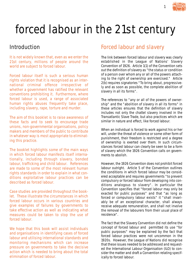

# **forced labour in the 21st century**

# **Introduction**

**It is not widely known that, even as we enter the 21st century, millions of people around the world are subject to forced labour.** 

**Forced labour itself is such a serious human rights violation that it is recognised as an international criminal offence irrespective of whether a government has ratified the relevant conventions prohibiting it. Furthermore, where forced labour is used, a range of associated human rights abuses frequently take place, including slavery, rape, torture and murder.** 

**The aim of this booklet is to raise awareness of these facts and to seek to encourage trade unions, non-governmental organisations, policy makers and members of the public to contribute in whatever way is most appropriate to eliminating this practice.**

**The booklet highlights some of the main ways in which forced labour manifests itself internationally, including through slavery, bonded labour, trafficking and child labour. References are made to some of the most relevant human rights standards in order to explain in what conditions exploitative labour practices can be described as forced labour.** 

**Case studies are provided throughout the booklet. These illustrate the circumstances in which forced labour occurs in various countries and give examples of failures by governments to take effective action as well as indicating what measures could be taken to stop the use of forced labour.** 

**We hope that this book will assist individuals and organisations in identifying cases of forced labour and utilising international standards and monitoring mechanisms which can increase pressure on governments to take the decisive action which is needed to bring about the total elimination of forced labour.**

# **Forced labour and slavery**

The link between forced labour and slavery was clearly established in the League of Nations' Slavery Convention of 1926. Article 1(1) of the Convention sets out the definition of slavery as **"the status or condition of a person over whom any or all of the powers attaching to the right of ownership are exercised."** Article 2(b) requires signatories **"To bring about, progressively and as soon as possible, the complete abolition of slavery in all its forms".** 

The references to **"any or all of the powers of ownership"** and the **"abolition of slavery in all its forms"** in these articles ensures that the definition of slavery includes not only the chattel slavery involved in the Transatlantic Slave Trade, but also practices which are similar in nature and effect, like forced labour.

When an individual is forced to work against his or her will, under the threat of violence or some other form of punishment, their freedom is restricted and a degree of ownership is exerted over them. In such circumstances forced labour can clearly be seen to be a form of slavery which the 1926 Convention calls on governments to abolish.

However, the 1926 Convention does not prohibit forced labour outright. Article 5 of the Convention outlines the conditions in which forced labour may be considered acceptable and requires governments **"to prevent compulsory or forced labour from developing into conditions analogous to slavery".** In particular the Convention specifies that **"forced labour may only be exacted for public purposes"** and that **"as long as forced or compulsory labour exists"** it **"shall invariably be of an exceptional character, shall always receive adequate remuneration, and shall not involve the removal of the labourers from their usual place of residence".**

The fact that the Slavery Convention did not define the concept of forced labour and permitted its use **"for public purposes"** may be explained by the fact that forced labour practices were not uncommon in the 1920s. However, the League of Nations did recognise that these issues needed to be addressed and requested the International Labour Organisation (ILO) to consider the matter and draft a Convention relating specifically to forced labour.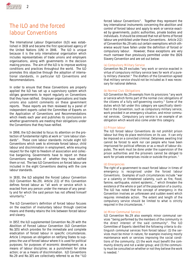

# **The ILO and the forced labour Conventions**

The International Labour Organisation (ILO) was established in 1919 and became the first specialised agency of the United Nations (UN) in 1946. The ILO is unique because it is the only international organisation which includes representatives of trade unions and employers organisations, along with governments in the decision making process. The aim of the ILO is to improve working conditions and practices throughout the world. The ILO promotes this objective through the adoption of international standards, in particular ILO Conventions and Recommendations.

In order to ensure that these Conventions are properly applied the ILO has set up a supervisory system which obliges governments to report regularly on Conventions that they have ratified. Employer organisations and trade unions also submit comments on these government reports. These reports are then reviewed by a panel of independent experts called the Committee of Experts on the Application of Conventions and Recommendations which meets each year and publishes its conclusions on whether governments are meeting their obligations under the Conventions that they have ratified.

In 1998, the ILO decided to focus its attention on the protection of fundamental rights at work or **"core labour standards".** These core labour standards include eight ILO Conventions which seek to eliminate forced labour, child labour and discrimination in employment, while ensuring respect for the right to freedom of association and collective bargaining. Governments have to report on these Conventions regardless of whether they have ratified them or not. The two ILO Conventions on forced labour are included in the eight Conventions dealing with the core labour standards.

In 1930, the ILO adopted the Forced Labour Convention (ILO Convention No.29). Article 2(1) of this Convention defines forced labour as **"all work or service which is exacted from any person under the menace of any penalty and for which the said person has not offered himself voluntarily."** 

The ILO Convention's definition of forced labour focuses on the exaction of involuntary labour through coercive means and thereby retains the link between forced labour and slavery.

In 1957, the ILO supplemented Convention No.29 with the Abolition of Forced Labour Convention (ILO Convention No.105) which provides for the immediate and complete eradication of forced labour in specific circumstances. Article 1 imposes an obligation on ratifying States to suppress the use of forced labour where it is used for political purposes; for purposes of economic development; as a means of labour discipline; as a punishment for strike action; or as a means of discrimination. ILO Conventions No.29 and No.105 are collectively referred to as the **"ILO**

**forced labour Conventions".** Together they represent the key international instruments concerning the abolition and control of forced labour and apply to work or service exacted by governments, public authorities, private bodies and individuals. It should be stressed that not all forms of forced labour are prohibited under these Conventions. Article 2(2) of Convention No.29 sets out certain exemptions which otherwise would have fallen under the definition of forced or compulsory labour. However, these exceptions are very much narrower than previously permitted under the 1926 Slavery Convention and are set out below:

#### **(a) Compulsory Military Service**

**Convention No.29 excludes "any work or service exacted in virtue of compulsory military service laws for work of a purely military character." The drafters of the Convention agreed that military service should not be included as it was necessary for national defence.** 

#### **(b) Normal Civic Obligations**

**ILO Convention No.29 exempts from its provisions "any work or service which forms part of the normal civic obligations of the citizens of a fully self-governing country." Some of the duties which fall under this category are specifically identified in the Convention, such as compulsory military service, work provided in an emergency situation, and minor communal services. Compulsory jury service is an example of an obligation which would also come under this category.**

#### **(c) Prison labour**

**The ILO forced labour Conventions do not prohibit prison labour but they do place restrictions on its use. It can only be imposed on a convicted criminal. Detainees awaiting trial cannot be forced to work nor can people who have been imprisoned for political offences or as a result of labour disputes. The work must be done under the supervision of the prison authorities and the prisoners cannot be obliged to work for private enterprises inside or outside the prison. 1** 

#### **(d) Emergencies**

**The right of a government to exact forced labour in times of emergency is recognised under the forced labour Conventions. Examples of such circumstances include "war or a calamity or threatened calamity, such as fire, flood, famine, earthquake, violent epidemic..." which threaten the existence of the whole or part of the population of a country. The ILO has noted that the concept of emergency in the Convention involves an unforeseen and sudden event which requires immediate action. The extent and length of the compulsory service should be limited to what is strictly required in the circumstances. 2** 

#### **(e) Minor Communal Service**

**ILO Convention No.29 also exempts minor communal services "being performed by the members of the community in the direct interest of the said community". The ILO Committee of Experts identified the following criteria to distinguish communal services from forced labour: (1) the services must be minor in nature, for example involving mostly maintenance work or services improving the social conditions of the community; (2) the work must benefit the community directly and not a wider group; and (3) the community must be consulted on whether or not they believe the work is needed. 3**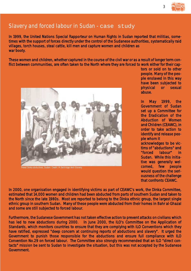**3**

# **Slavery and forced labour in Sudan - case study**

In 1999, the United Nations Special Rapporteur on Human Rights in Sudan reported that militias, sometimes with the support of forces directly under the control of the Sudanese authorities, systematically raid villages, torch houses, steal cattle, kill men and capture women and children as war booty.

These women and children, whether captured in the course of the civil war or as a result of longer term conflict between communities, are often taken to the North where they are forced to work either for their cap-



ed Dinka abductees, Sudan. Credit: M.Dottridge/Anti-Slavery

tors or sold on to other people. Many of the people enslaved in this way have been subjected to physical or sexual abuse.

In May 1999, the Government of Sudan set up a Committee for the Eradication of the Abduction of Women and Children (CEAWC), in order to take action to identify and release people whom it acknowledges to be victims of "abductions" and "forced labour" in Sudan. While this initiative was generally welcomed, few people would question the seriousness of the challenge that confronts CEAWC.

In 2000, one organisation engaged in identifying victims as part of CEAWC's work, the Dinka Committee, estimated that 14,000 women and children had been abducted from parts of southern Sudan and taken to the North since the late 1980s. Most are reported to belong to the Dinka ethnic group, the largest single ethnic group in southern Sudan. Many of these people were abducted from their homes in Bahr al-Ghazal and some are still subjected to forced labour.

Furthermore, the Sudanese Government has not taken effective action to prevent attacks on civilians which has led to new abductions during 2000. In June 2000, the ILO's Committee on the Application of Standards, which monitors countries to ensure that they are complying with ILO Conventions which they have ratified, expressed "deep concern at continuing reports of abductions and slavery". It urged the Government to punish those responsible for the abductions and ensure full compliance with ILO Convention No.29 on forced labour. The Committee also strongly recommended that an ILO "direct contacts" mission be sent to Sudan to investigate the situation, but this was not accepted by the Sudanese Government.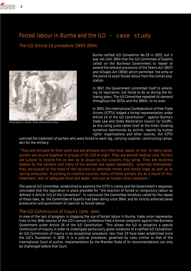

# Forced labour in Burma and the ILO - case study

**The ILO Article 24 procedure (1993-1994)**



Forced labour in Burma. Credit: Burma Action Group

**Burma ratified ILO Convention No.29 in 1955, but it was not until 1964 that the ILO Committee of Experts called on the Burmese Government to repeal or amend the relevant provisions of the Towns Act (1907) and Villages Act (1908) which permitted the army or the police to exact forced labour from the civilian population.** 

**In 1967, the Government committed itself to amending its legislation, but failed to do so during the following years. The ILO Committee repeated its demand throughout the 1970s and the 1980s, to no avail.**

**In 1993, the International Confederation of Free Trade Unions (ICFTU) lodged a formal representation under Article 24 of the ILO Constitution 4 against Burma's State Law and Order Restoration Council (or SLORC, as the ruling junta called itself at the time). Quoting numerous testimonies by victims, reports by human rights' organisations and other sources, the ICFTU**

**outlined the treatment of porters who were forced to work (eg, carrying supplies, constructing camps, etc) for the military:**

**"They are not paid for their work and are allowed very little food, water, or rest. In many cases, porters are bound together in groups of 50-200 at night. They are denied medical care. Porters are subject to hostile fire as well as to abuse by the soldiers they serve. They are routinely beaten by the soldiers and many of the women are raped repeatedly. Unarmed themselves, they are placed at the head of the columns to detonate mines and booby traps as well as to spring ambushes. According to credible sources, many of these porters die as a result of mistreatment, lack of adequate food and water, and use as human mine sweepers."**

**The special ILO Committee, established to examine the ICFTU's claims and the Government's response, concluded that the legislation in place provided for "the exaction of forced or compulsory labour as defined in Article 2(1) of the Convention". In conclusion the Committee forcefully called for the repeal of these laws, as the Committee of Experts had been doing since 1964, and for strictly enforced penal prosecution and punishment of coercion to forced labour.** 

#### **The ILO Commission of Inquiry (1996- 1998)**

**In view of the lack of progress in stopping the use of forced labour in Burma, trade union representatives to the 1996 session of the ILO's annual Conference filed a formal complaint against the Burmese Government under Article 26 of the ILO Constitution. This allows the ILO to establish a special Commission of Inquiry in order to investigate particularly grave violations of a ratified ILO Convention. An ILO Commission of Inquiry is an exceptional procedure: less than 20 have been established since the ILO's foundation in 1919. It is a judicial procedure, governed by rules similar to that of the International Court of Justice. Implementation by the Member State of its recommendations can only be challenged before that Court.**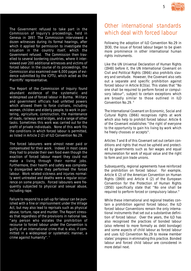**The Government refused to take part in the Commission of Inquiry's proceedings, held in Geneva in 1997. The Commission interviewed a dozen witnesses during its formal hearings, after which it applied for permission to investigate the situation in the country itself, which the Government refused. The Commission then travelled to several bordering countries, where it interviewed over 200 additional witnesses and victims of forced labour. In the course of its proceedings, the Commission also examined over 6,000 pages of evidence submitted by the ICFTU, which acted as the Plaintiffs' representative.** 

**The Report of the Commission of Inquiry found abundant evidence of the systematic and widespread use of forced labour in Burma. Military and government officials had unfetted powers which allowed them to force civilians, including women, children and elderly people, to work in portering, agriculture, construction, the maintenance of roads, railways and bridges, and a range of other tasks. Sometimes this work was carried out for the profit of private individuals. None of this work fits the conditions in which forced labour is permitted, as listed in Article 2 (2) of ILO Convention No.29.** 

**The forced labourers were almost never paid or compensated for their work. Indeed in most cases they had to provide their own food even though the exaction of forced labour meant they could not make a living through their normal jobs. Furthermore, their health and safety was completely disregarded while they performed the forced labour. Work related sickness and injuries normally went untreated and deaths were a regular occurrence on some projects. Forced labourers were frequently subjected to physical and sexual abuse, including rape.**

**Failure to respond to a call-up for labour can be punished with a fine or imprisonment under the Village Act, but may also lead to reprisals such as physical abuse, torture, rape and murder. The Report stresses that regardless of the provisions in national law, "any person who violates the prohibition of recourse to forced labour under the Convention is guilty of an international crime that is also, if committed in a widespread or systematic manner, a crime against humanity". 5**

# **Other international standards which deal with forced labour**

Following the adoption of ILO Convention No.29 in 1930, the issue of forced labour began to be given more prominence in other international human rights instruments.

Like the UN Universal Declaration of Human Rights (1948) before it, the UN International Covenant on Civil and Political Rights (1966) also prohibits slavery and servitude. However, the Covenant also sets out a separate and specific prohibition against forced labour in Article 8(3)(a). This states that **"No one shall be required to perform forced or compulsory labour",** subject to certain exceptions which are broadly similar to those outlined in ILO Convention No. 29 6

The International Covenant on Economic, Social and Cultural Rights (1966) recognises rights at work which also help to prohibit forced labour. Article 6 of the Covenant establishes **"the right of everyone to the opportunity to gain his living by work which he freely chooses or accepts".**

Articles 7 and 8 of this Covenant set out certain conditions and rights that must be upheld and protected by governments such as fair wages and equal remuneration for work of equal value and the right to form and join trade unions.

Subsequently, regional agreements have reinforced the prohibition on forced labour. For example, Article 6 (2) of the American Convention on Human Rights (1969) and Article 4 (2) of the European Convention for the Protection of Human Rights (1950) specifically state that **"No one shall be required to perform forced or compulsory labour."**

While these international and regional treaties contain a prohibition against forced labour, the ILO forced labour Conventions remain the only international instruments that set out a substantive definition of forced labour. Over the years, the ILO has also recognised the practices of bonded labour (also referred to more formally as debt bondage) and some aspects of child labour as forced labour and uses ILO Convention No.29 to review member states' progress in eliminating this practice. Bonded labour and forced child labour are considered in more detail next.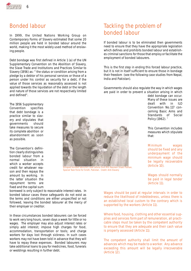

# **Bonded labour**

In 1999, the United Nations Working Group on Contemporary Forms of Slavery estimated that some 20 million people are held in bonded labour around the world, making it the most widely used method of enslaving people.

Debt bondage was first defined in Article 1 (a) of the UN Supplementary Convention on the Abolition of Slavery, the Slave Trade and Institutions and Practices Similar to Slavery (1956) as: " the status or condition arising from a pledge by a debtor of his personal services or those of a person under his control as security for a debt, if the value of those services as reasonably assessed is not applied towards the liquidation of the debt or the length and nature of those services are not respectively limited and defined".

**Tackling the problem of bonded labour**

If bonded labour is to be eliminated then governments need to ensure that they have the appropriate legislation which defines and prohibits bonded labour and establishes criminal sanctions for those that employ or facilitate the employment of bonded labourers.

This is the first step in ending this forced labour practice, but it is not in itself sufficient to ensure those in bondage their freedom (see the following case studies from Nepal, India and Pakistan).

Governments should also regulate the way in which wages are paid in order to prevent a situation arising in which

> debt bondage can occur. Many of these issues are dealt with in ILO Convention No.117 concerning Basic Aims and Standards of Social Policy (1962).<sup>7</sup>

This Convention includes measures which stipulate that:

**Minimum wages should be fixed and any underpayment of the minimum wage should be legally recoverable (Article 10).**

**Wages should normally be paid in legal tender (Article 11).** 

The 1956 Supplementary Convention specifies that debt bondage is a practice similar to slavery and stipulates that governments should take measures to secure its complete abolition or abandonment as soon as possible.

The Convention's definition clearly distinguishes bonded labour from a normal situation in which a worker accepts credit for whatever reason and then repays the amount by working. In the latter situation the repayment terms are fixed and the capital sum



In these circumstances bonded labourers can be forced to work very long hours, seven days a week for little or no wages. The employer may also adjust interest rates or simply add interest; impose high charges for food, accommodation, transportation or tools; and charge workers for days lost through sickness. In such cases workers may not have been told in advance that they will have to repay these expenses. Bonded labourers may take additional loans to pay for medicines, food, funerals or weddings resulting in further debt.

**Wages should be paid at regular intervals in order to reduce the likelihood of indebtedness, unless there is an established local custom to the contrary which is supported by the workers (Article 11).**

**Where food, housing, clothing and other essential supplies and services form part of remuneration, all practicable steps must be taken by the competent authority to ensure that they are adequate and their cash value is properly assessed (Article 11).**

**The competent authority shall limit the amount of advances which may be made to a worker. Any advance exceeding this amount will be legally irrecoverable (Article 12).** 



Escaped bonded labourers seek advice from Mrs Nasreen Shakil Pathan, Special Task Force for Sindh, Pakistan. Credit: Anti-Slavery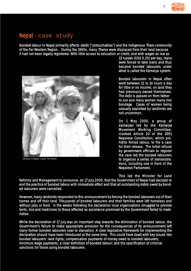# **Nepal -** case study

Bonded labour in Nepal primarily affects *dalits* ("untouchables") and the indigenous *Tharu* community of the Far-Western Region. During the 1960s, many Tharus were displaced from their land because it had not been legally registered. With little access to education or credit, and with wages as low as



Workers in Nepal. Credit: Tim White

13 rupees (US\$ 0.20) per day, many were forced to take loans and thus became bonded labourers under what is called the Kamaiya system.

Bonded labourers in Nepal often work between 12 to 14 hours a day for little or no income, on land they had previously owned themselves. The debt is passed on from father to son and many women marry into bondage. Cases of women being sexually exploited by landlords are not uncommon.

On 1 May 2000, a group of kamaiyas led by the Kamaiya Movement Working Committee, invoked Article 20 of the 1991 Nepalese Constitution, which prohibits forced labour, to file a case for their release. The initial refusal by government officials to register the case led the bonded labourers to organise a series of demonstrations, including one in front of the Nepalese Parliament.

This led the Minister for Land

Reforms and Management to announce, on 17 July 2000, that the Government of Nepal had decided to end the practice of bonded labour with immediate effect and that all outstanding debts owed by bonded labourers were cancelled.

However, many landlords responded to this announcement by forcing the bonded labourers out of their homes and off their land. Thousands of bonded labourers and their families were left homeless and without jobs or food. In the weeks following the declaration local organisations struggled to provide tents, rice and medicines to those affected as assistance promised by the Government failed to materialise.

While the declaration of 17 July was an important step towards the elimination of bonded labour, the Government's failure to make appropriate provision for the consequences of its announcement left many former bonded labourers near to starvation. A clear legislative framework for implementing the declaration should have been introduced at the same time. This could have dealt with key issues like bonded labourers' land rights; compensation payments of money owed to bonded labourers; minimum wage payments; a clear definition of bonded labour; and the specification of criminal sanctions for those using bonded labourers.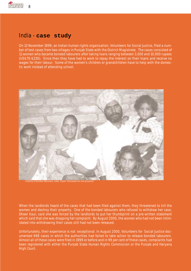

#### **India - case study**

**On 13 November 1999, an Indian human rights organisation, Volunteers for Social Justice, filed a number of test cases from two villages in Punjab State with the District Magistrate. The cases consisted of 11 women who became bonded labourers after taking loans ranging between 3,000 and 10,000 rupees (US\$70-\$230). Since then they have had to work to repay the interest on their loans and receive no wages for their labour. Some of the women's children or grandchildren have to help with the domestic work instead of attending school.**



A family of bonded labourers, India. Credit: Volunteers for Social Justice

**When the landlords heard of the cases that had been filed against them, they threatened to kill the women and destroy their property. One of the bonded labourers who refused to withdraw her case, Dheer Kaur, said she was forced by the landlords to put her thumbprint on a pre-written statement which said that she was dropping her complaint. By August 2000, the women who had not been intimidated into withdrawing their cases still had not been released.** 

**Unfortunately, their experience is not exceptional. In August 2000, Volunteers for Social Justice documented 698 cases in which the authorities had failed to take action to release bonded labourers. Almost all of these cases were filed in 1999 or before and in 99 per cent of these cases, complaints had been registered with either the Punjab State Human Rights Commission or the Punjab and Haryana High Court.**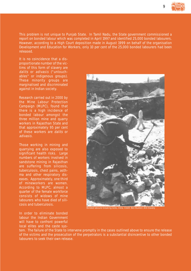**This problem is not unique to Punjab State. In Tamil Nadu, the State government commissioned a report on bonded labour which was completed in April 1997 and identified 25,000 bonded labourers. However, according to a High Court deposition made in August 1999 on behalf of the organisation Development and Education for Workers, only 10 per cent of the 25,000 bonded labourers had been released.**

**It is no coincidence that a disproportionate number of the victims of this form of slavery are dalits or adivasis ("untouchables" or indigenous groups). These minority groups are marginalised and discriminated against in Indian society.**

**Research carried out in 2000 by the Mine Labour Protection Campaign (MLPC), found that there is a high incidence of bonded labour amongst the three million mine and quarry workers in Rajasthan State and that approximately 95 per cent of these workers are dalits or adivasis.** 

**Those working in mining and quarrying are also exposed to significant health risks. Large numbers of workers involved in sandstone mining in Rajasthan are suffering from silicosis, tuberculosis, chest pains, asthma and other respiratory diseases. Approximately, one third of mineworkers are women. According to MLPC, almost a quarter of the female workforce consists of widows of mine labourers who have died of silicosis and tuberculosis.**

**In order to eliminate bonded labour the Indian Government will have to confront powerful local elites and the caste sys-**



ded labourer breaking rocks, India. Credit: Ben Buxton/ Anti-Slaver

**tem. The failure of the State to intervene promptly in the cases outlined above to ensure the release of the victims and the prosecution of the perpetrators is a substantial disincentive to other bonded labourers to seek their own release.**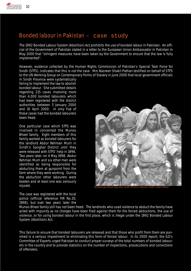

#### **Bonded labour in Pakistan** - case study

The 1992 Bonded Labour System (Abolition) Act prohibits the use of bonded labour in Pakistan. An official of the Government of Pakistan stated in a letter to the European Union Ambassador in Pakistan in May 2000 that "stringent measures have been taken by the Government to ensure that the law is fully implemented".

However, evidence collected by the Human Rights Commission of Pakistan's Special Task Force for Sindh (STFS), indicates that this is not the case. Mrs Nasreen Shakil Pathan testified on behalf of STFS to the UN Working Group on Contemporary Forms of Slavery in June 2000 that local government officials

in Sindh Province were systematically failing to implement the law to abolish bonded labour. She submitted details regarding 215 cases involving more than 4,000 bonded labourers which had been registered with the district authorities between 3 January 2000 and 10 April 2000. In only five of these cases had the bonded labourers been freed.

One particular case which STFS was involved in concerned the Munoo Bheel family. Eight members of this family worked as bonded labourers for the landlord Abdur Rehman Murri in Sindh's Sanghar District until they were released with STFS' help in 1996. Two years later, on 4 May 1998, Abdur Rehman Murri and six other men were identified as being responsible for abducting them at gunpoint from the farm where they were working. During the abduction other labourers were beaten and at least one was seriously injured.

The case was registered with the local police (official reference FIR No.35, 1998), but over two years later the



Bonded agricultural labourers, Sindh Province, Pakistan. Credit: Shakil Pathan

Munoo Bheel family still has not been freed. The landlords who used violence to abduct the family have acted with impunity as no charges have been filed against them for the forced abductions, the use of violence, or for using bonded labour in the first place, which is illegal under the 1992 Bonded Labour System (Abolition) Act.

This failure to ensure that bonded labourers are released and that those who profit from them are punished is a serious impediment to eliminating this form of forced labour. In its 2000 report, the ILO's Committee of Experts urged Pakistan to conduct proper surveys of the total numbers of bonded labourers in the country and to provide statistics on the number of inspections, prosecutions and convictions of offenders.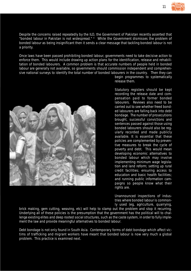**11**

Despite the concerns raised repeatedly by the ILO, the Government of Pakistan recently asserted that "bonded labour in Pakistan is not widespread." 8 While the Government dismisses the problem of bonded labour as being insignificant then it sends a clear message that tackling bonded labour is not a priority.

Once laws have been passed prohibiting bonded labour, governments need to take decisive action to enforce them. This would include drawing up action plans for the identification, release and rehabilitation of bonded labourers. A common problem is that accurate numbers of people held in bonded labour are generally not available, so governments should commission independent and comprehensive national surveys to identify the total number of bonded labourers in the country. Then they can



begin programmes to systematically release them.

Statutory registers should be kept recording the release date and compensation paid to former bonded labourers. Reviews also need to be carried out to see whether freed bonded labourers are falling back into debt bondage. The number of prosecutions brought, successful convictions and sentences passed against those using bonded labourers should also be regularly recorded and made publicly available. It is essential that these policies are complemented by preventive measures to break the cycle of poverty and debt. This would mean developing economic alternatives to bonded labour which may involve implementing minimum wage legislation and land reform; setting up rural credit facilities; ensuring access to education and basic health facilities; and running public information campaigns so people know what their rights are.

Unannounced inspections of industries where bonded labour is commonly used (eg, agriculture, quarrying,

brick making, gem cutting, weaving, etc) will help to stamp out the problem and stop it recurring. Underlying all of these policies is the presumption that the government has the political will to challenge existing elites and deep rooted social structures, such as the caste system, in order to fully implement the law and provide meaningful alternatives to bonded labour.

**Debt bondage is not only found in South Asia. Contemporary forms of debt bondage which affect victims of trafficking and migrant workers have meant that bonded labour is now very much a global problem. This practice is examined next.**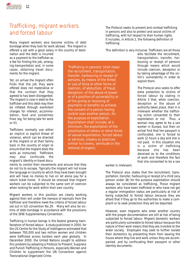

# **Trafficking, migrant workers and forced labour**

Many migrant workers also become victims of debt bondage when they look for work abroad. The migrant is offered a job with a good salary in the country of desti-

nation and the debt is incurred as a payment to the trafficker as a fee for finding the job, arranging transportation and, in some cases, obtaining travel documents for the migrant.

Yet, on arrival the migrant often finds that the job they were offered does not materialise or that the contract that they agreed to has been disregarded. The migrant is now in debt to the trafficker and this debt may then be inflated through exorbitant charges for interest, accommodation, food and sometimes fines (eg, for being late for work or ill).

Traffickers normally use either an implicit or explicit threat of violence, which can be directed at the migrant or at their family back in the country of origin to ensure that the migrant does the work as instructed. Traffickers may also confiscate the migrant's identity or travel docu-

ments to control their movements and ensure that they do not try to escape. Typically the migrant will not know the language or country to which they have been brought and will have no money to live on let alone pay for a return ticket home. It should be stressed that migrant workers can be subjected to the same sort of coercion when looking for work within their own country.

Migrant workers in this position are clearly working against their will under the menace of reprisals from the trafficker and therefore meet the criteria of forced labour set out in ILO convention No.29. Many will also be victims of debt bondage in accordance with the provisions of the 1956 Supplementary Convention.

Trafficking in human beings is the fastest growing manifestation of forced labour. A study published in 2000, for the US Centre for the Study of Intelligence estimated that between 700,000 and two million women and children were trafficked across borders each year globally. In December 2000, the United Nations sought to address this problem by adopting a Protocol to Prevent, Suppress and Punish Trafficking in Persons, especially Women and Children to supplement the UN Convention against Transnational Organized Crime.

The Protocol seeks to prevent and combat trafficking in persons and also to protect and assist victims of trafficking, with full respect to their human rights. It includes, in Article 2, the following definition of trafficking:

This definition is very inclusive. Traffickers are all those

**'Trafficking in persons' shall mean the recruitment, transportation, transfer, harbouring or receipt of persons, by means of the threat or use of force or other forms of coercion, of abduction, of fraud, deception, of the abuse of power or of a position of vulnerability or of the giving or receiving of payments or benefits to achieve the consent of a person having control over another person, for the purpose of exploitation. Exploitation shall include, at a minimum, the exploitation of the prostitution of others or other forms of sexual exploitation, forced labour or services, slavery or practices similar to slavery, servitude or the removal of organs;**

who facilitate the recruitment, transportation, transfer, harbouring or receipt of persons through means which would include coercion, deception or by taking advantage of the victim's vulnerability in order to exploit them.

The Protocol also seeks to offer extra protection to victims of forced labour by stating in Article 3 that, when coercion, deception or the abuse of authority takes place, then it is irrelevant whether the trafficking victim consented to their exploitation or not. Thus, a woman may agree to be a sex worker in Europe, but then on arrival find that her passport is confiscated, she is forced to work 12 hours a day and she is not paid. In this situation she is a victim of trafficking because she has been deceived as to the conditions of work and therefore the fact that she consented to be a sex

worker is irrelevant.

The Protocol also states that the recruitment, transportation, transfer, harbouring or receipt of a child (any person under 18) for the purpose exploitation should always be considered as trafficking. Those migrant workers who have been trafficked or who have not got a regular immigration status are particularly at risk of being subjected to forced labour because they are afraid that if they go to the authorities to make a complaint or to seek protection they will be deported.

However, even migrants who enter another country with the proper documentation are still at risk of being subjected to forced labour. Migrant domestic workers are particularly vulnerable to forced labour because the nature of their work means that they are invisible to the wider society. Employers may seek to further isolate their domestics by preventing them from leaving the house where they live and work unless they are accompanied, and by confiscating their passport or other identity documents.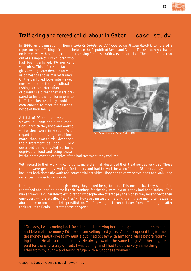#### **Trafficking and forced child labour in Gabon** - case study

**In 1999, an organisation in Benin, Enfants Solidaires d'Afrique et du Monde (ESAM), completed a report on the trafficking of children between the Republic of Benin and Gabon. The research was based on interviews with parents, children, receiving families, traffickers and officials. The report found that**

**out of a sample of 229 children who had been trafficked, 86 per cent were girls. This reflects the fact that girls are in greater demand for work as domestics and as market traders. Of the trafficked boys interviewed, most worked in the agricultural or fishing sectors. More than one-third of parents said that they were prepared to hand their children over to traffickers because they could not earn enough to meet the essential needs of their family.** 

**A total of 91 children were interviewed in Benin about the conditions in which they lived and worked while they were in Gabon. With regard to their living conditions, more than two-thirds described their treatment as 'bad'. They described being shouted at, being deprived of food and being beaten**



Child Domestic worker, Benin. Credit: ESAM

**by their employer as examples of the bad treatment they endured.** 

**With regard to their working conditions, more than half described their treatment as very bad. These children were generally working for traders and had to work between 14 and 18 hours a day - this includes both domestic work and commercial activities. They had to carry heavy loads and walk long distances in order to sell goods.**

**If the girls did not earn enough money they risked being beaten. This meant that they were often frightened about going home if their earnings for the day were low or if they had been stolen. This makes the girls vulnerable to exploitation by people who offer to pay the money they must give to their employers (who are called "aunties"). However, instead of helping them these men often sexually abuse them or force them into prostitution. The following testimonies taken from different girls after their return to Benin illustrate these dangers:**

**"One day, I was coming back from the market crying because a gang had beaten me up and taken all the money I'd made from selling iced juice. A man proposed to give me the money I must give to my auntie but I had to stay with him for a while before returning home. He abused me sexually. He always wants the same thing. Another day, he paid for the whole tray of fruits I was selling, and I had to do the very same thing. I fled from my auntie and found refuge with a Gabonese woman."**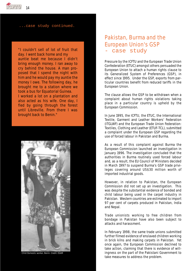

#### ...case study continued.

**"I couldn't sell of lot of fruit that day. I went back home and my auntie beat me because I didn't bring enough money. I ran away to cry behind the house. A man proposed that I spend the night with him and he would pay my auntie the money I owe. The following day, he brought me to a station where we took a bus for Equatorial Guinea. I worked a lot on a plantation and also acted as his wife. One day, I fled by going through the forest until Libreville. From there I was**

**brought back to Benin."**



Child Domestic worker, Benin. Credit: ESAM

#### **Pakistan, Burma and the European Union's GSP**  case study

**Pressure by the ICFTU and the European Trade Union Confederation (ETUC) amongst others persuaded the European Union to attach a human rights clause to its Generalized System of Preferences (GSP), in effect since 1995. Under the GSP, exports from particular countries benefit from reduced tariffs in the European Union.** 

**The clause allows the GSP to be withdrawn when a complaint about human rights violations taking place in a particular country is upheld by the European Commission.**

**In June 1995, the ICFTU, the ETUC, the International Textile, Garment and Leather Workers' Federation (ITGLWF) and the European Trade Union Federation: Textiles, Clothing and Leather (ETUF-TCL), submitted a complaint under the European GSP regarding the use of forced labour in Pakistan and Burma.** 

**As a result of this complaint against Burma the European Commission launched an investigation in January 1996. The investigation concluded that the authorities in Burma routinely used forced labour and, as a result, the EU Council of Ministers decided in March 1997 to suspend Burma's GSP trade privileges covering around US\$30 million worth of imported industrial goods.** 

**However, in relation to Pakistan, the European Commission did not set up an investigation. This was despite the substantial evidence of bonded and child labour being used in the carpet industry in Pakistan. Western countries are estimated to import 97 per cent of carpets produced in Pakistan, India and Nepal.** 

**Trade unionists working to free children from bondage in Pakistan have also been subject to attacks and harassment.**

**In February 1998, the same trade unions submitted further filmed evidence of enslaved children working in brick kilns and making carpets in Pakistan. Yet once again, the European Commission declined to take action, claiming that there is evidence of willingness on the part of the Pakistani Government to take measures to address the problem.**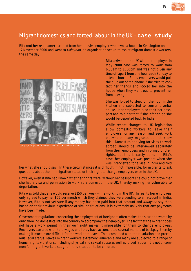# **Migrant domestics and forced labour in the UK - case study**

**Rita (not her real name) escaped from her abusive employer who owns a house in Kensington on 17 November 2000 and went to Kalayaan, an organisation set up to assist migrant domestic workers, the same day.** 



Campaign for justice for overseas workers, UK. Credit: Kalayaan

**Rita arrived in the UK with her employer in May 2000. She was forced to work from 6.30am to 11.30pm and was not given any time off apart from one hour each Sunday to attend church. Rita's employers would pull the plug out of the phone if she tried to contact her friends and locked her into the house when they went out to prevent her from leaving.** 

**She was forced to sleep on the floor in the kitchen and subjected to constant verbal abuse. Her employers also took her passport and told her that if she left her job she would be deported back to India.** 

**While recent changes to UK legislation allow domestic workers to leave their employers for any reason and seek work elsewhere, many migrants do not know this. Domestics applying for visas to work abroad should be interviewed separately from their employers and informed of their rights, but this is rarely done. In Rita's case, her employer was present when she was interviewed for a visa in India and told**

**her what she should say. In these circumstances it is difficult, if not impossible, for migrants to ask questions about their immigration status or their right to change employers once in the UK.** 

**However, even if Rita had known what her rights were, without her passport she could not prove that she had a visa and permission to work as a domestic in the UK, thereby making her vulnerable to deportation.**

**Rita was told that she would receive £150 per week while working in the UK. In reality her employers only agreed to pay her £75 per month which they claimed they were sending to an account in India. However, Rita is not yet sure if any money has been paid into that account and Kalayaan say that, based on their previous experience of similar situations, it is extremely unlikely that any payments have been made.** 

**Government regulations concerning the employment of foreigners often makes the situation worse by only allowing domestics into the country to accompany their employer. The fact that the migrant does not have a work permit in their own right makes it impossible for them to change employers. Employers can also with-hold wages until they have accumulated several months of backpay, thereby making it much more difficult for the worker to leave. This, combined with their isolation and precarious legal status, leaves migrant workers extremely vulnerable and many are subjected to a range of human rights violations, including physical and sexual abuse as well as forced labour. It is not uncommon for migrant workers caught in this situation to be children.**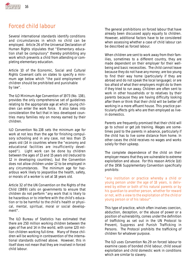

# **Forced child labour**

Several international standards identify conditions and circumstances in which no child can be employed. Article 26 of the Universal Declaration of Human Rights stipulates that **"Elementary education shall be compulsory"** thereby prohibiting any work which prevents a child from attending or completing elementary education.

Article 10 of the Economic, Social and Cultural Rights Covenant calls on states to specify a minimum age below which **"the paid employment of children should be prohibited and punishable by law"**.

The ILO Minimum Age Convention of 1973 (No. 138), provides the only comprehensive set of guidelines relating to the appropriate age at which young children can enter the work force. It also takes into consideration the fact that in less developed countries many families rely on money earned by their children.

ILO Convention No.138 sets the minimum age for work at not less than the age for finishing compulsory schooling and in any case, not less than 15 years old (14 in countries where the **"economy and educational facilities are insufficiently developed"**). Light work can be done by children between the ages of 13 and 15 years old (reduced to 12 in developing countries), but the Convention does not allow children under 12 to be employed in any circumstances. The minimum age for hazardous work likely to jeopardise the health, safety, or morals of a worker is set at 18 years old.

Article 32 of the UN Convention on the Rights of the Child (1989) calls on governments to ensure that children do not perform **"any work that is likely to be hazardous or to interfere with the child's education or to be harmful to the child's health or physical, mental, spiritual, moral or social development".**

The ILO Bureau of Statistics has estimated that there are 250 million working children between the ages of five and 14 in the world, with some 120 million children working full-time. Many of these children will be working in contravention of the international standards outlined above. However, this in itself does not mean that they are involved in forced child labour.

The general prohibitions on forced labour that have already been discussed apply equally to children. However, additional factors have to be considered when assessing whether a case of child labour can be described as forced labour.

When children are sent to work away from their families, sometimes to a different country, they are made dependent on their employer for their wellbeing and basic necessities. The child cannot leave because they do not have any money; are too young to find their way home (particularly if they are abroad and do not speak the local language); or are too afraid of what their employers might do to them if they tried to run away. Children are often sent to work in other households or to relatives by their parents because they are having difficulty looking after them or think that their child will be better off working in a more affluent house. This practice particularly affects girls who are then employed as livein domestics.

Parents are frequently promised that their child will go to school or get job training. Wages are sometimes paid to the parents in advance, particularly if the child has to live some distance from home. In other cases the child receives no wages and works solely for their upkeep.

The complete dependence of the child on their employer means that they are vulnerable to extreme exploitation and abuse. For this reason Article 1(d) of the 1956 Supplementary Convention specifically prohibits:

**"any institution or practice whereby a child or young person under the age of 18 years, is delivered by either or both of his natural parents or by his guardian to another person, whether for reward or not, with a view to the exploitation of the child or young person or of his labour".**

This type of practice, which often involves coercion, abduction, deception, or the abuse of power or a position of vulnerability, comes under the definition of trafficking as set out in the UN Protocol to Prevent, Suppress and Punish Trafficking in Persons. The Protocol prohibits the trafficking of children for whatever purpose.

The ILO uses Convention No. 29 on forced labour to examine cases of bonded child labour, child sexual exploitation and child domestic work in conditions which are similar to slavery.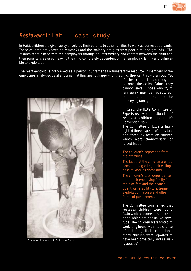# **Restaveks in Haiti** - case study

In Haiti, children are given away or sold by their parents to other families to work as domestic servants. These children are known as restaveks and the majority are girls from poor rural backgrounds. The restaveks are placed with their employers through an intermediary and contact between the child and their parents is severed, leaving the child completely dependent on her employing family and vulnerable to exploitation.

The restavek child is not viewed as a person, but rather as a transferable resource. If members of the employing family decide at any time that they are not happy with the child, they can throw them out. Yet



Child domestic worker, Haiti. Credit: Leah Gordon

if the child is unhappy or becomes the victim of abuse they cannot leave. Those who try to run away may be recaptured, beaten and returned to the employing family.

In 1993, the ILO's Committee of Experts reviewed the situation of restavek children under ILO Convention No.29.

The Committee of Experts highlighted three aspects of the situation faced by restavek children which were characteristic of forced labour:

#### The children's separation from their families;

The fact that the children are not consulted regarding their willingness to work as domestics;

The children's total dependence upon their employing family for their welfare and their consequent vulnerability to extreme exploitation, abuse and other forms of punishment.

The Committee commented that restavek children were found "...to work as domestics in conditions which are not unlike servitude. The children were forced to work long hours with little chance of bettering their conditions; many children were reported to have been physically and sexually abused".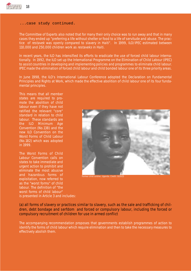

#### ...case study continued.

The Committee of Experts also noted that for many their only choice was to run away and that in many cases they ended up "preferring a life without shelter or food to a life of servitude and abuse. The practice of restavek was openly compared to slavery in Haiti". In 1999, ILO/IPEC estimated between 110,000 and 250,000 children work as restaveks in Haiti.

In recent years, the ILO has intensified its efforts to eradicate the use of forced child labour internationally. In 1992, the ILO set up the International Programme on the Elimination of Child Labour (IPEC) to assist countries in developing and implementing policies and programmes to eliminate child labour. IPEC made the elimination of forced child labour and child bonded labour one of its three priority areas.

In June 1998, the ILO's International Labour Conference adopted the Declaration on Fundamental Principles and Rights at Work, which made the effective abolition of child labour one of its four fundamental principles.

This means that all member states are required to promote the abolition of child labour even if they have not ratified the relevant "core" standard in relation to child labour. These standards are the ILO Minimum Age Convention (No.138) and the new ILO Convention on the Worst Forms of Child Labour (No.182) which was adopted in 1999.

The Worst Forms of Child Labour Convention calls on states to take immediate and urgent action to prohibit and eliminate the most abusive and hazardous forms of exploitation, now referred to as the "worst forms" of child labour. The definition of "the worst forms of child labour" is presented in Article 3 and includes:



Former Children Chanda. Credit: GUSCO

**(a) all forms of slavery or practices similar to slavery, such as the sale and trafficking of children, debt bondage and serfdom and forced or compulsory labour, including the forced or compulsory recruitment of children for use in armed conflict**

The accompanying recommendation proposes that governments establish programmes of action to identify the forms of child labour which require elimination and then to take the necessary measures to effectively abolish them.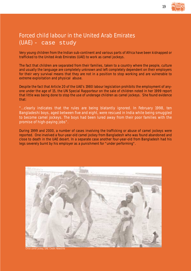**19**

# **Forced child labour in the United Arab Emirates (UAE)** - case study

**Very young children from the Indian sub-continent and various parts of Africa have been kidnapped or trafficked to the United Arab Emirates (UAE) to work as camel jockeys.**

**The fact that children are separated from their families, taken to a country where the people, culture and usually the language are completely unknown and left completely dependent on their employers for their very survival means that they are not in a position to stop working and are vulnerable to extreme exploitation and physical abuse.**

**Despite the fact that Article 20 of the UAE's 1980 labour legislation prohibits the employment of anyone under the age of 15, the UN Special Rapporteur on the sale of children noted in her 1999 report that little was being done to stop the use of underage children as camel jockeys. She found evidence that:**

**"…clearly indicates that the rules are being blatantly ignored. In February 1998, ten Bangladeshi boys, aged between five and eight, were rescued in India while being smuggled to become camel jockeys. The boys had been lured away from their poor families with the promise of high-paying jobs".** 

**During 1999 and 2000, a number of cases involving the trafficking or abuse of camel jockeys were reported. One involved a four-year-old camel jockey from Bangladesh who was found abandoned and close to death in the UAE desert. In a separate case another four-year-old from Bangladesh had his legs severely burnt by his employer as a punishment for "under performing".** 



Child camel jockey, UAE. Credit: Newsline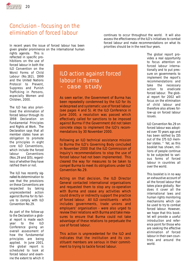

# **Conclusion - focusing on the elimination of forced labour**

In recent years the issue of forced labour has been given greater prominence on the international human

continues to occur throughout the world. It will also assess the effectiveness of the ILO's initiatives to combat forced labour and make recommendations on what its priorities should be in the next four years.

rights agenda. This is reflected in specific prohibitions on the use of forced labour in both the ILO Convention on the Worst Forms of Child Labour (No.182), 1999 and the United Nations Protocol to Prevent, Suppress and Punish Trafficking in Persons, especially Women and Children, 2000.

The ILO has also prioritised the elimination of forced labour through its 1998 Declaration on Fundamental Principles and Rights at Work. The Declaration says that all member states have an obligation to promote the principles in eight core ILO Conventions, which include the forced labour Conventions (Nos.29 and 105), regardless of whether they have ratified them or not.

The ILO has recently signalled its determination to see that the provisions on these Conventions are respected by taking unprecedented action against Burma for its failure to comply with ILO Convention No.29.

As part of the follow-up to the Declaration a global report is made each year to the ILO Conference giving an overall assessment of how the fundamental principles are being applied. In June 2001, the global report is scheduled to look at forced labour and examine the extent to which it

# **ILO action against forced labour in Burma**

case study

**As seen earlier, the Government of Burma has been repeatedly condemned by the ILO for its widespread and systematic use of forced labour (see pages 4 and 5). At the ILO Conference in June 2000, a resolution was passed which effectively called for sanctions to be imposed against Burma if the Government did not taken concrete steps to implement the ILO's recommendations by 30 November 2000.**

**Following an ILO technical assistance mission to Burma the ILO's Governing Body concluded in November 2000 that the ILO Commission of Inquiry's recommendations to stop the use of forced labour had not been implemented. This cleared the way for measures to be taken to compel Burma to meet its obligations under ILO Convention No.29.** 

**Acting on that decision, the ILO Director General contacted international organisations and requested them to stop any co-operation with Burma and cease any activities which could directly or indirectly support the practice of forced labour. All ILO constituents - which includes governments, trade unions and employers' organisation - were also urged to review their relations with Burma and take measures to ensure that Burma could not take advantage of these relations to perpetuate the use of forced labour.** 

**This action is unprecedented for the ILO and indicates that the institution and its constituent members are serious in their commitment to trying to tackle forced labour.**

The global report provides a real opportunity to focus attention on forced labour internationally and to put pressure on governments to implement the report's recommendations and take the necessary action to eradicate forced labour. The global report for 2002 will focus on the elimination of child labour and therefore also allows follow-up on forced labour issues.

ILO Convention No.29 on forced labour was adopted over 70 years ago and has been ratified by 155 out of the 175 ILO member states. <sup>9</sup> Yet, as this booklet has shown, millions of people continue to be subjected to various forms of forced labour in countries all over the world.

This booklet is in no way an exhaustive account of all the forced labour that takes place globally. Nor does it cover all the international laws and human rights monitoring mechanisms which can be used to try to combat forced labour. However, we hope that this booklet will provide a useful introduction and reference point for those who are seeking the effective elimination of forced labour in their own countries and around the world.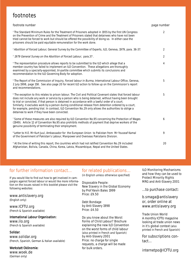# **footnotes**

#### **footnote number page number <sup>1</sup>** The Standard Minimum Rules for the Treatment of Prisoners adopted in 1955 by the first UN Congress **2** on the Prevention of Crime and the Treatment of Prisoners stated that detainees who have not been tried cannot be forced to work but should be offered the possibility of doing so. In either case the prisoners should be paid equitable remuneration for the work done. **<sup>2</sup>**Abolition of Forced Labour, General Survey by the Committee of Experts, ILO, Geneva, 1979, para. 36-37. **2 <sup>3</sup>** 1979 General Survey on the Abolition of Forced Labour, para.37 . **2 <sup>4</sup>**The representation procedure allows reports to be submitted to the ILO which allege that a **4** member country has failed to implement an ILO Convention. These allegations are thoroughly examined by a specially-appointed, tri-partite committee which submits its conclusions and recommendation to the ILO Governing Body for adoption. **<sup>5</sup>** The Report of the Commission of Inquiry, Forced labour in Burma, International Labour Office, Geneva, **5** 2 July 1998, page 158. See also page 20 for recent ILO action to follow up on the Commission's report and recommendations. **<sup>6</sup>** The exception to this relates to prison labour. The Civil and Political Covenant states that forced labour **5** does not include any work or service by a person who is being detained, without having been brought to trial or convicted, if that person is detained in accordance with a lawful order of a court. Similarly, it excludes work by a person during conditional release from detention ordered by a court, for example, pending trial. In contrast, ILO Convention No.29 only allows the authorities to oblige a detainee to work if they have been convicted. **<sup>7</sup>** Some of these measures are also required by ILO Convention No.95 concerning the Protection of Wages **6** (1949). Article 12 of Convention No.95 also prohibits methods of payment that deprive workers of the genuine possibility of terminating their employment. **<sup>8</sup>**Letter to H.E. Mr Kurt Juul, Ambassador for the European Union to Pakistan from Mr Youseaf Kamal **9** of the Government of Pakistan's Labour, Manpower and Overseas Pakistanis Division. **<sup>9</sup>** At the time of writing this report, the countries which had not ratified Convention No.29 included **20** Afghanistan, Bolivia, Canada, China, Korea, Latvia, Mozambique, Nepal and the United States.

#### **for further information contact...**

If you would like to find out how to get involved in campaigns against forced labour or would like more information on the issues raised in this booklet please visit the following websites:

#### **www.antislavery.org**

(English only)

**www.ICFTU.org** (French & Spanish available)

International Labour Organisation: **www.ilo.org**  (French & Spanish available)

Solidar:

**www.solidar.org** (French, Spanish, German & Italian available)

#### Werkstatt Okönomie: **www.woek.de** (German only)

#### **for related publications...**

**(in English unless otherwise specified)**

#### **Disposable People: New Slavery in the Global Economy**  by Prof Kevin Bales 1999 *Price: £9.50*

**Debt Bondage** by Anti-Slavery 1998 *Price: £4.50*

**Do you know about the Worst Forms of Child Labour?** Brochure explaining the new ILO Convention on the worst forms of child labour (also printed in French and Spanish) by Anti-Slavery 2001 *Price: no charge for single requests, a charge will be made for bulk orders.*

**ILO Monitoring Mechanisms and how they can be used to Protect Minority Rights**  MRG and Anti-Slavery 2001

#### **...to purchase contact:**

**b.smaga@antislavery or, order online at www.antislavery.org**

**Trade Union World** A monthly ICFTU magazine looking at trade union news in it's global context (also printed in French and Spanish)

**For subscriptions contact...** 

**internetpo@ICFTU.org**